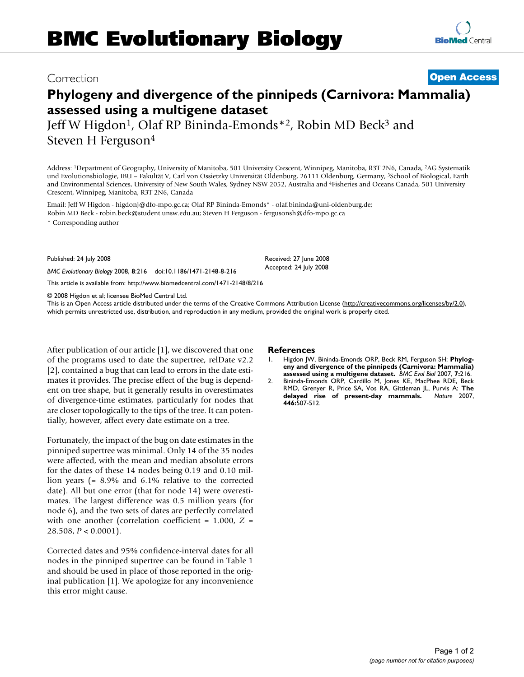# **Phylogeny and divergence of the pinnipeds (Carnivora: Mammalia) assessed using a multigene dataset**

Jeff W Higdon<sup>1</sup>, Olaf RP Bininda-Emonds<sup>\*2</sup>, Robin MD Beck<sup>3</sup> and Steven H Ferguson4

Address: 1Department of Geography, University of Manitoba, 501 University Crescent, Winnipeg, Manitoba, R3T 2N6, Canada, 2AG Systematik und Evolutionsbiologie, IBU – Fakultät V, Carl von Ossietzky Universität Oldenburg, 26111 Oldenburg, Germany, 3School of Biological, Earth and Environmental Sciences, University of New South Wales, Sydney NSW 2052, Australia and 4Fisheries and Oceans Canada, 501 University Crescent, Winnipeg, Manitoba, R3T 2N6, Canada

Email: Jeff W Higdon - higdonj@dfo-mpo.gc.ca; Olaf RP Bininda-Emonds\* - olaf.bininda@uni-oldenburg.de; Robin MD Beck - robin.beck@student.unsw.edu.au; Steven H Ferguson - fergusonsh@dfo-mpo.gc.ca

\* Corresponding author

Published: 24 July 2008

*BMC Evolutionary Biology* 2008, **8**:216 doi:10.1186/1471-2148-8-216

[This article is available from: http://www.biomedcentral.com/1471-2148/8/216](http://www.biomedcentral.com/1471-2148/8/216)

© 2008 Higdon et al; licensee BioMed Central Ltd.

This is an Open Access article distributed under the terms of the Creative Commons Attribution License [\(http://creativecommons.org/licenses/by/2.0\)](http://creativecommons.org/licenses/by/2.0), which permits unrestricted use, distribution, and reproduction in any medium, provided the original work is properly cited.

After publication of our article [1], we discovered that one of the programs used to date the supertree, relDate v2.2 [2], contained a bug that can lead to errors in the date estimates it provides. The precise effect of the bug is dependent on tree shape, but it generally results in overestimates of divergence-time estimates, particularly for nodes that are closer topologically to the tips of the tree. It can potentially, however, affect every date estimate on a tree.

Fortunately, the impact of the bug on date estimates in the pinniped supertree was minimal. Only 14 of the 35 nodes were affected, with the mean and median absolute errors for the dates of these 14 nodes being 0.19 and 0.10 million years (= 8.9% and 6.1% relative to the corrected date). All but one error (that for node 14) were overestimates. The largest difference was 0.5 million years (for node 6), and the two sets of dates are perfectly correlated with one another (correlation coefficient = 1.000, *Z* = 28.508, *P* < 0.0001).

Corrected dates and 95% confidence-interval dates for all nodes in the pinniped supertree can be found in Table 1 and should be used in place of those reported in the original publication [1]. We apologize for any inconvenience this error might cause.

### **References**

- 1. Higdon JW, Bininda-Emonds ORP, Beck RM, Ferguson SH: **[Phylog](http://www.ncbi.nlm.nih.gov/entrez/query.fcgi?cmd=Retrieve&db=PubMed&dopt=Abstract&list_uids=17996107)[eny and divergence of the pinnipeds \(Carnivora: Mammalia\)](http://www.ncbi.nlm.nih.gov/entrez/query.fcgi?cmd=Retrieve&db=PubMed&dopt=Abstract&list_uids=17996107) [assessed using a multigene dataset.](http://www.ncbi.nlm.nih.gov/entrez/query.fcgi?cmd=Retrieve&db=PubMed&dopt=Abstract&list_uids=17996107)** *BMC Evol Biol* 2007, **7:**216.
- 2. Bininda-Emonds ORP, Cardillo M, Jones KE, MacPhee RDE, Beck RMD, Grenyer R, Price SA, Vos RA, Gittleman JL, Purvis A: **[The](http://www.ncbi.nlm.nih.gov/entrez/query.fcgi?cmd=Retrieve&db=PubMed&dopt=Abstract&list_uids=17392779)** [delayed rise of present-day mammals.](http://www.ncbi.nlm.nih.gov/entrez/query.fcgi?cmd=Retrieve&db=PubMed&dopt=Abstract&list_uids=17392779) **446:**507-512.

## Correction **[Open Access](http://www.biomedcentral.com/info/about/charter/)**

Received: 27 June 2008 Accepted: 24 July 2008